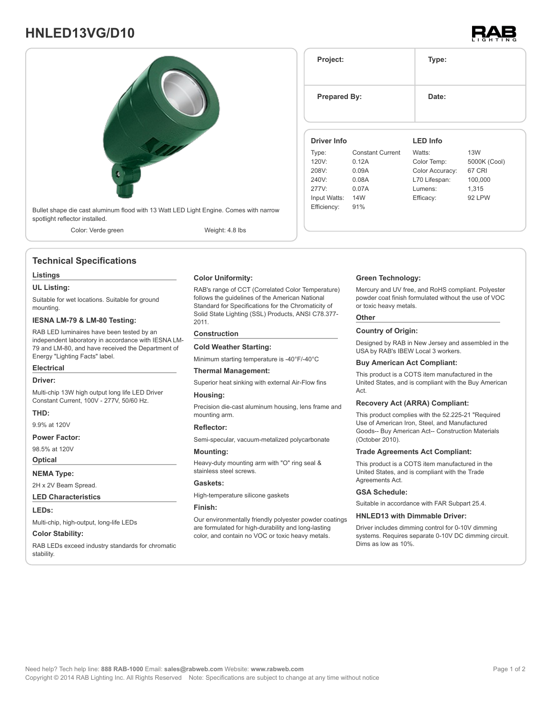# **HNLED13VG/D10**





### **Technical Specifications**

#### **Listings**

**UL Listing:**

Suitable for wet locations. Suitable for ground mounting.

#### **IESNA LM-79 & LM-80 Testing:**

RAB LED luminaires have been tested by an independent laboratory in accordance with IESNA LM-79 and LM-80, and have received the Department of Energy "Lighting Facts" label.

### **Electrical**

**Driver:**

Multi-chip 13W high output long life LED Driver Constant Current, 100V - 277V, 50/60 Hz.

#### **THD:**

9.9% at 120V

#### **Power Factor:**

98.5% at 120V

# **Optical**

**NEMA Type:** 2H x 2V Beam Spread.

### **LED Characteristics**

**LEDs:**

Multi-chip, high-output, long-life LEDs

#### **Color Stability:**

RAB LEDs exceed industry standards for chromatic stability.

**Color Uniformity:**

RAB's range of CCT (Correlated Color Temperature) follows the guidelines of the American National Standard for Specifications for the Chromaticity of Solid State Lighting (SSL) Products, ANSI C78.377- 2011.

#### **Construction**

**Cold Weather Starting:**

Minimum starting temperature is -40°F/-40°C

#### **Thermal Management:**

Superior heat sinking with external Air-Flow fins

#### **Housing:**

Precision die-cast aluminum housing, lens frame and mounting arm.

#### **Reflector:**

Semi-specular, vacuum-metalized polycarbonate

#### **Mounting:**

Heavy-duty mounting arm with "O" ring seal & stainless steel screws.

#### **Gaskets:**

High-temperature silicone gaskets

#### **Finish:**

Our environmentally friendly polyester powder coatings are formulated for high-durability and long-lasting color, and contain no VOC or toxic heavy metals.

## **Green Technology:**

**Project: Type:**

**Prepared By:** Date:

**Driver Info**

120V: 0.12A 208V: 0.09A 240V: 0.08A 277V: 0.07A Input Watts: 14W Efficiency: 91%

Type: Constant Current

Mercury and UV free, and RoHS compliant. Polyester powder coat finish formulated without the use of VOC or toxic heavy metals.

**LED Info**

Watts: 13W Color Temp: 5000K (Cool) Color Accuracy: 67 CRI L70 Lifespan: 100,000 Lumens: 1,315 Efficacy: 92 LPW

#### **Other**

#### **Country of Origin:**

Designed by RAB in New Jersey and assembled in the USA by RAB's IBEW Local 3 workers.

#### **Buy American Act Compliant:**

This product is a COTS item manufactured in the United States, and is compliant with the Buy American Act.

#### **Recovery Act (ARRA) Compliant:**

This product complies with the 52.225-21 "Required Use of American Iron, Steel, and Manufactured Goods-- Buy American Act-- Construction Materials (October 2010).

#### **Trade Agreements Act Compliant:**

This product is a COTS item manufactured in the United States, and is compliant with the Trade Agreements Act

#### **GSA Schedule:**

Suitable in accordance with FAR Subpart 25.4.

#### **HNLED13 with Dimmable Driver:**

Driver includes dimming control for 0-10V dimming systems. Requires separate 0-10V DC dimming circuit. Dims as low as 10%.